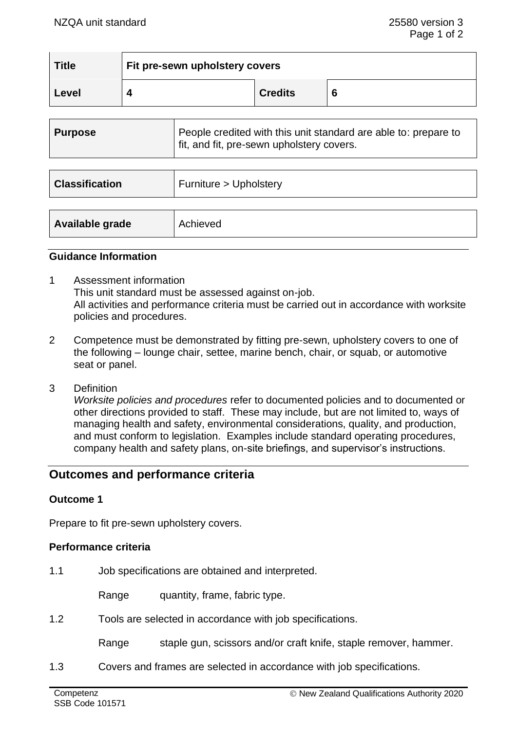| <b>Title</b> | Fit pre-sewn upholstery covers |                |   |  |
|--------------|--------------------------------|----------------|---|--|
| Level        |                                | <b>Credits</b> | Ö |  |

| <b>Purpose</b>        | People credited with this unit standard are able to: prepare to<br>fit, and fit, pre-sewn upholstery covers. |  |
|-----------------------|--------------------------------------------------------------------------------------------------------------|--|
|                       |                                                                                                              |  |
| <b>Classification</b> | Furniture > Upholstery                                                                                       |  |
|                       |                                                                                                              |  |
| Available grade       | Achieved                                                                                                     |  |

#### **Guidance Information**

- 1 Assessment information This unit standard must be assessed against on-job. All activities and performance criteria must be carried out in accordance with worksite policies and procedures.
- 2 Competence must be demonstrated by fitting pre-sewn, upholstery covers to one of the following – lounge chair, settee, marine bench, chair, or squab, or automotive seat or panel.
- 3 Definition

*Worksite policies and procedures* refer to documented policies and to documented or other directions provided to staff. These may include, but are not limited to, ways of managing health and safety, environmental considerations, quality, and production, and must conform to legislation. Examples include standard operating procedures, company health and safety plans, on-site briefings, and supervisor's instructions.

# **Outcomes and performance criteria**

### **Outcome 1**

Prepare to fit pre-sewn upholstery covers.

### **Performance criteria**

1.1 Job specifications are obtained and interpreted.

Range quantity, frame, fabric type.

1.2 Tools are selected in accordance with job specifications.

Range staple gun, scissors and/or craft knife, staple remover, hammer.

1.3 Covers and frames are selected in accordance with job specifications.